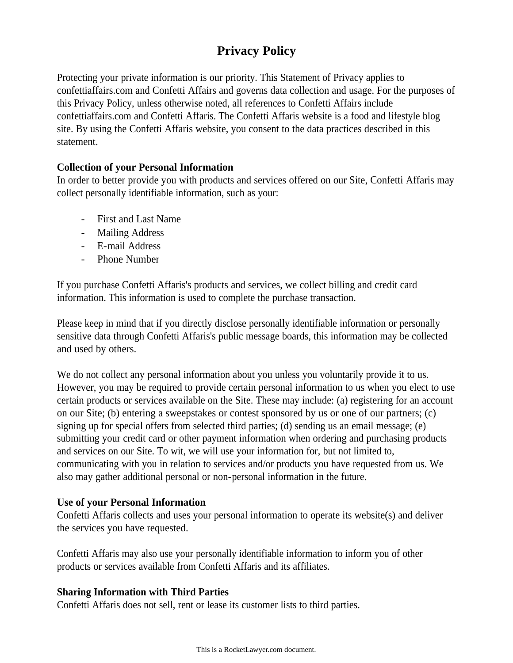# **Privacy Policy**

Protecting your private information is our priority. This Statement of Privacy applies to confettiaffairs.com and Confetti Affairs and governs data collection and usage. For the purposes of this Privacy Policy, unless otherwise noted, all references to Confetti Affairs include confettiaffairs.com and Confetti Affaris. The Confetti Affaris website is a food and lifestyle blog site. By using the Confetti Affaris website, you consent to the data practices described in this statement.

# **Collection of your Personal Information**

In order to better provide you with products and services offered on our Site, Confetti Affaris may collect personally identifiable information, such as your:

- First and Last Name
- Mailing Address
- E-mail Address
- Phone Number

If you purchase Confetti Affaris's products and services, we collect billing and credit card information. This information is used to complete the purchase transaction.

Please keep in mind that if you directly disclose personally identifiable information or personally sensitive data through Confetti Affaris's public message boards, this information may be collected and used by others.

We do not collect any personal information about you unless you voluntarily provide it to us. However, you may be required to provide certain personal information to us when you elect to use certain products or services available on the Site. These may include: (a) registering for an account on our Site; (b) entering a sweepstakes or contest sponsored by us or one of our partners; (c) signing up for special offers from selected third parties; (d) sending us an email message; (e) submitting your credit card or other payment information when ordering and purchasing products and services on our Site. To wit, we will use your information for, but not limited to, communicating with you in relation to services and/or products you have requested from us. We also may gather additional personal or non-personal information in the future.

## **Use of your Personal Information**

Confetti Affaris collects and uses your personal information to operate its website(s) and deliver the services you have requested.

Confetti Affaris may also use your personally identifiable information to inform you of other products or services available from Confetti Affaris and its affiliates.

## **Sharing Information with Third Parties**

Confetti Affaris does not sell, rent or lease its customer lists to third parties.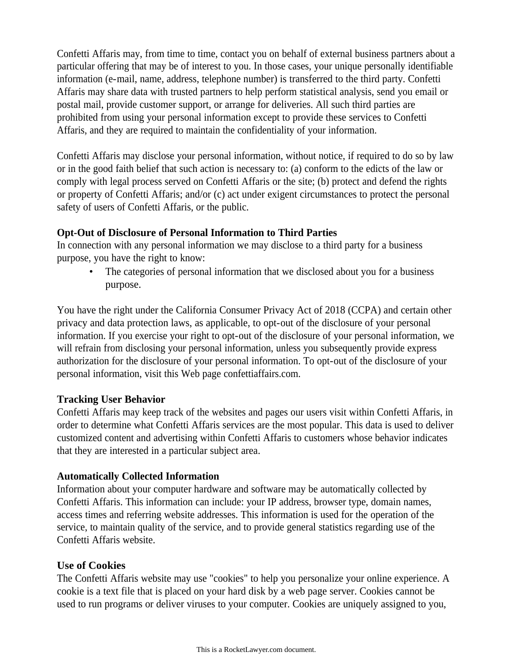Confetti Affaris may, from time to time, contact you on behalf of external business partners about a particular offering that may be of interest to you. In those cases, your unique personally identifiable information (e-mail, name, address, telephone number) is transferred to the third party. Confetti Affaris may share data with trusted partners to help perform statistical analysis, send you email or postal mail, provide customer support, or arrange for deliveries. All such third parties are prohibited from using your personal information except to provide these services to Confetti Affaris, and they are required to maintain the confidentiality of your information.

Confetti Affaris may disclose your personal information, without notice, if required to do so by law or in the good faith belief that such action is necessary to: (a) conform to the edicts of the law or comply with legal process served on Confetti Affaris or the site; (b) protect and defend the rights or property of Confetti Affaris; and/or (c) act under exigent circumstances to protect the personal safety of users of Confetti Affaris, or the public.

## **Opt-Out of Disclosure of Personal Information to Third Parties**

In connection with any personal information we may disclose to a third party for a business purpose, you have the right to know:

The categories of personal information that we disclosed about you for a business purpose.

You have the right under the California Consumer Privacy Act of 2018 (CCPA) and certain other privacy and data protection laws, as applicable, to opt-out of the disclosure of your personal information. If you exercise your right to opt-out of the disclosure of your personal information, we will refrain from disclosing your personal information, unless you subsequently provide express authorization for the disclosure of your personal information. To opt-out of the disclosure of your personal information, visit this Web page confettiaffairs.com.

## **Tracking User Behavior**

Confetti Affaris may keep track of the websites and pages our users visit within Confetti Affaris, in order to determine what Confetti Affaris services are the most popular. This data is used to deliver customized content and advertising within Confetti Affaris to customers whose behavior indicates that they are interested in a particular subject area.

# **Automatically Collected Information**

Information about your computer hardware and software may be automatically collected by Confetti Affaris. This information can include: your IP address, browser type, domain names, access times and referring website addresses. This information is used for the operation of the service, to maintain quality of the service, and to provide general statistics regarding use of the Confetti Affaris website.

## **Use of Cookies**

The Confetti Affaris website may use "cookies" to help you personalize your online experience. A cookie is a text file that is placed on your hard disk by a web page server. Cookies cannot be used to run programs or deliver viruses to your computer. Cookies are uniquely assigned to you,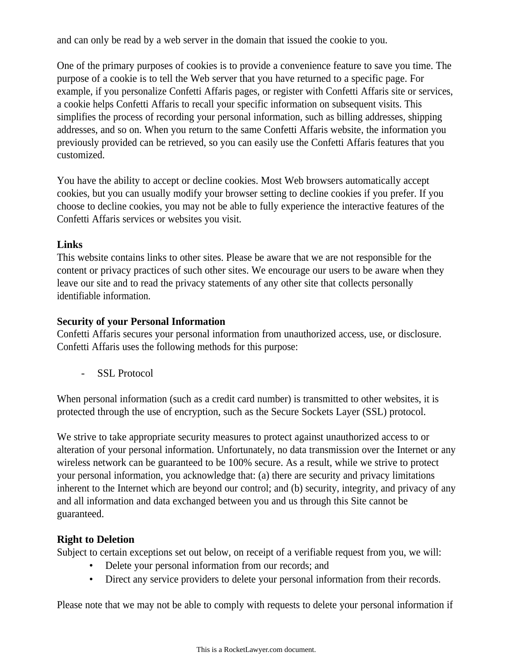and can only be read by a web server in the domain that issued the cookie to you.

One of the primary purposes of cookies is to provide a convenience feature to save you time. The purpose of a cookie is to tell the Web server that you have returned to a specific page. For example, if you personalize Confetti Affaris pages, or register with Confetti Affaris site or services, a cookie helps Confetti Affaris to recall your specific information on subsequent visits. This simplifies the process of recording your personal information, such as billing addresses, shipping addresses, and so on. When you return to the same Confetti Affaris website, the information you previously provided can be retrieved, so you can easily use the Confetti Affaris features that you customized.

You have the ability to accept or decline cookies. Most Web browsers automatically accept cookies, but you can usually modify your browser setting to decline cookies if you prefer. If you choose to decline cookies, you may not be able to fully experience the interactive features of the Confetti Affaris services or websites you visit.

#### **Links**

This website contains links to other sites. Please be aware that we are not responsible for the content or privacy practices of such other sites. We encourage our users to be aware when they leave our site and to read the privacy statements of any other site that collects personally identifiable information.

## **Security of your Personal Information**

Confetti Affaris secures your personal information from unauthorized access, use, or disclosure. Confetti Affaris uses the following methods for this purpose:

- SSL Protocol

When personal information (such as a credit card number) is transmitted to other websites, it is protected through the use of encryption, such as the Secure Sockets Layer (SSL) protocol.

We strive to take appropriate security measures to protect against unauthorized access to or alteration of your personal information. Unfortunately, no data transmission over the Internet or any wireless network can be guaranteed to be 100% secure. As a result, while we strive to protect your personal information, you acknowledge that: (a) there are security and privacy limitations inherent to the Internet which are beyond our control; and (b) security, integrity, and privacy of any and all information and data exchanged between you and us through this Site cannot be guaranteed.

## **Right to Deletion**

Subject to certain exceptions set out below, on receipt of a verifiable request from you, we will:

- Delete your personal information from our records; and
- Direct any service providers to delete your personal information from their records.

Please note that we may not be able to comply with requests to delete your personal information if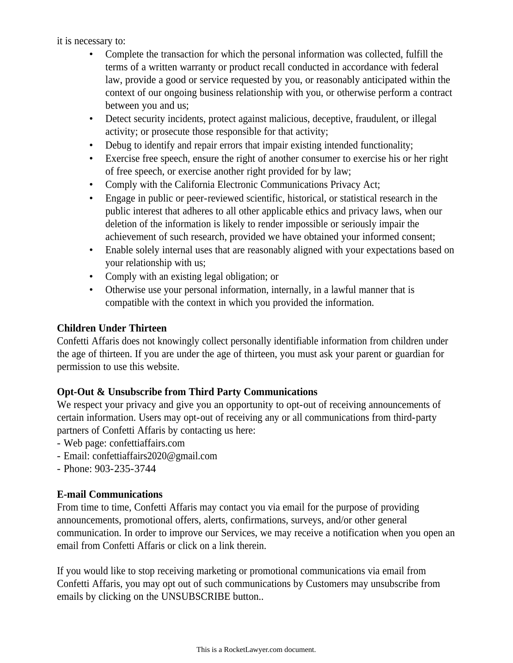#### it is necessary to:

- Complete the transaction for which the personal information was collected, fulfill the terms of a written warranty or product recall conducted in accordance with federal law, provide a good or service requested by you, or reasonably anticipated within the context of our ongoing business relationship with you, or otherwise perform a contract between you and us;
- Detect security incidents, protect against malicious, deceptive, fraudulent, or illegal activity; or prosecute those responsible for that activity;
- Debug to identify and repair errors that impair existing intended functionality;
- Exercise free speech, ensure the right of another consumer to exercise his or her right of free speech, or exercise another right provided for by law;
- Comply with the California Electronic Communications Privacy Act:
- Engage in public or peer-reviewed scientific, historical, or statistical research in the public interest that adheres to all other applicable ethics and privacy laws, when our deletion of the information is likely to render impossible or seriously impair the achievement of such research, provided we have obtained your informed consent;
- Enable solely internal uses that are reasonably aligned with your expectations based on your relationship with us;
- Comply with an existing legal obligation; or
- Otherwise use your personal information, internally, in a lawful manner that is compatible with the context in which you provided the information.

# **Children Under Thirteen**

Confetti Affaris does not knowingly collect personally identifiable information from children under the age of thirteen. If you are under the age of thirteen, you must ask your parent or guardian for permission to use this website.

## **Opt-Out & Unsubscribe from Third Party Communications**

We respect your privacy and give you an opportunity to opt-out of receiving announcements of certain information. Users may opt-out of receiving any or all communications from third-party partners of Confetti Affaris by contacting us here:

- Web page: confettiaffairs.com
- Email: confettiaffairs2020@gmail.com
- Phone: 903-235-3744

## **E-mail Communications**

From time to time, Confetti Affaris may contact you via email for the purpose of providing announcements, promotional offers, alerts, confirmations, surveys, and/or other general communication. In order to improve our Services, we may receive a notification when you open an email from Confetti Affaris or click on a link therein.

If you would like to stop receiving marketing or promotional communications via email from Confetti Affaris, you may opt out of such communications by Customers may unsubscribe from emails by clicking on the UNSUBSCRIBE button..